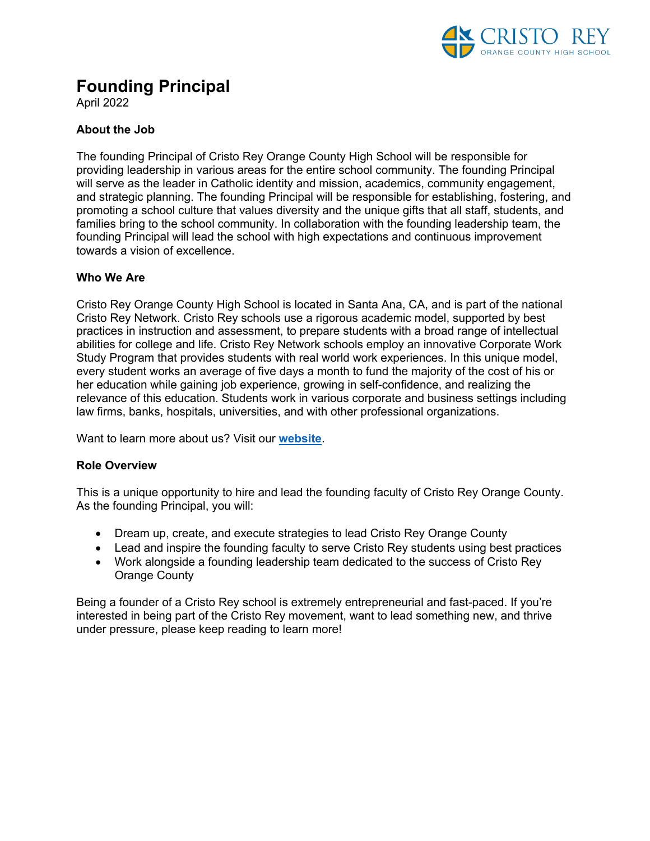

# **Founding Principal**

April 2022

# **About the Job**

The founding Principal of Cristo Rey Orange County High School will be responsible for providing leadership in various areas for the entire school community. The founding Principal will serve as the leader in Catholic identity and mission, academics, community engagement, and strategic planning. The founding Principal will be responsible for establishing, fostering, and promoting a school culture that values diversity and the unique gifts that all staff, students, and families bring to the school community. In collaboration with the founding leadership team, the founding Principal will lead the school with high expectations and continuous improvement towards a vision of excellence.

## **Who We Are**

Cristo Rey Orange County High School is located in Santa Ana, CA, and is part of the national Cristo Rey Network. Cristo Rey schools use a rigorous academic model, supported by best practices in instruction and assessment, to prepare students with a broad range of intellectual abilities for college and life. Cristo Rey Network schools employ an innovative Corporate Work Study Program that provides students with real world work experiences. In this unique model, every student works an average of five days a month to fund the majority of the cost of his or her education while gaining job experience, growing in self-confidence, and realizing the relevance of this education. Students work in various corporate and business settings including law firms, banks, hospitals, universities, and with other professional organizations.

Want to learn more about us? Visit our **website**.

## **Role Overview**

This is a unique opportunity to hire and lead the founding faculty of Cristo Rey Orange County. As the founding Principal, you will:

- Dream up, create, and execute strategies to lead Cristo Rey Orange County
- Lead and inspire the founding faculty to serve Cristo Rey students using best practices
- Work alongside a founding leadership team dedicated to the success of Cristo Rey Orange County

Being a founder of a Cristo Rey school is extremely entrepreneurial and fast-paced. If you're interested in being part of the Cristo Rey movement, want to lead something new, and thrive under pressure, please keep reading to learn more!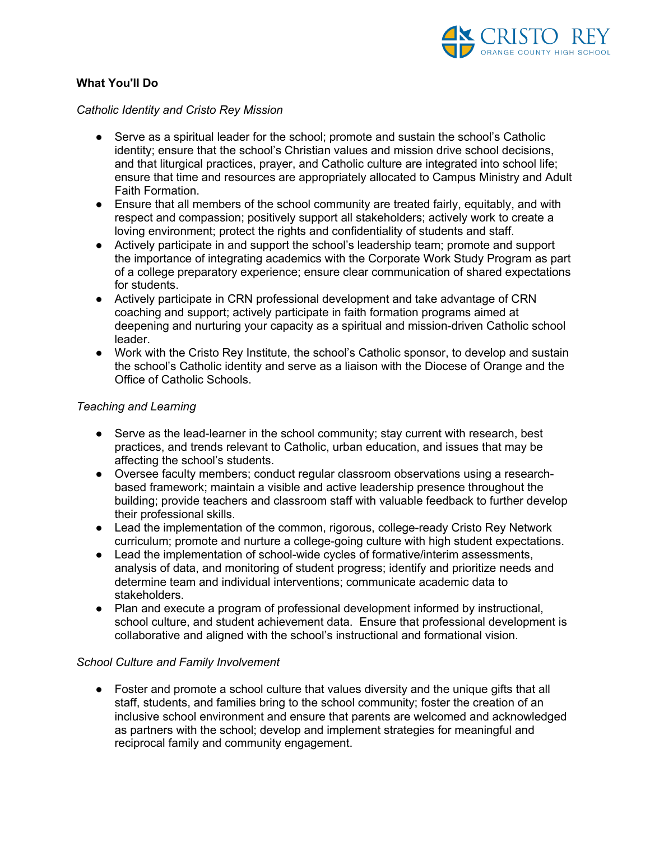

## **What You'll Do**

#### *Catholic Identity and Cristo Rey Mission*

- Serve as a spiritual leader for the school; promote and sustain the school's Catholic identity; ensure that the school's Christian values and mission drive school decisions, and that liturgical practices, prayer, and Catholic culture are integrated into school life; ensure that time and resources are appropriately allocated to Campus Ministry and Adult Faith Formation.
- Ensure that all members of the school community are treated fairly, equitably, and with respect and compassion; positively support all stakeholders; actively work to create a loving environment; protect the rights and confidentiality of students and staff.
- Actively participate in and support the school's leadership team; promote and support the importance of integrating academics with the Corporate Work Study Program as part of a college preparatory experience; ensure clear communication of shared expectations for students.
- Actively participate in CRN professional development and take advantage of CRN coaching and support; actively participate in faith formation programs aimed at deepening and nurturing your capacity as a spiritual and mission-driven Catholic school leader.
- Work with the Cristo Rey Institute, the school's Catholic sponsor, to develop and sustain the school's Catholic identity and serve as a liaison with the Diocese of Orange and the Office of Catholic Schools.

## *Teaching and Learning*

- Serve as the lead-learner in the school community; stay current with research, best practices, and trends relevant to Catholic, urban education, and issues that may be affecting the school's students.
- Oversee faculty members; conduct regular classroom observations using a researchbased framework; maintain a visible and active leadership presence throughout the building; provide teachers and classroom staff with valuable feedback to further develop their professional skills.
- Lead the implementation of the common, rigorous, college-ready Cristo Rey Network curriculum; promote and nurture a college-going culture with high student expectations.
- Lead the implementation of school-wide cycles of formative/interim assessments, analysis of data, and monitoring of student progress; identify and prioritize needs and determine team and individual interventions; communicate academic data to stakeholders.
- Plan and execute a program of professional development informed by instructional, school culture, and student achievement data. Ensure that professional development is collaborative and aligned with the school's instructional and formational vision.

## *School Culture and Family Involvement*

• Foster and promote a school culture that values diversity and the unique gifts that all staff, students, and families bring to the school community; foster the creation of an inclusive school environment and ensure that parents are welcomed and acknowledged as partners with the school; develop and implement strategies for meaningful and reciprocal family and community engagement.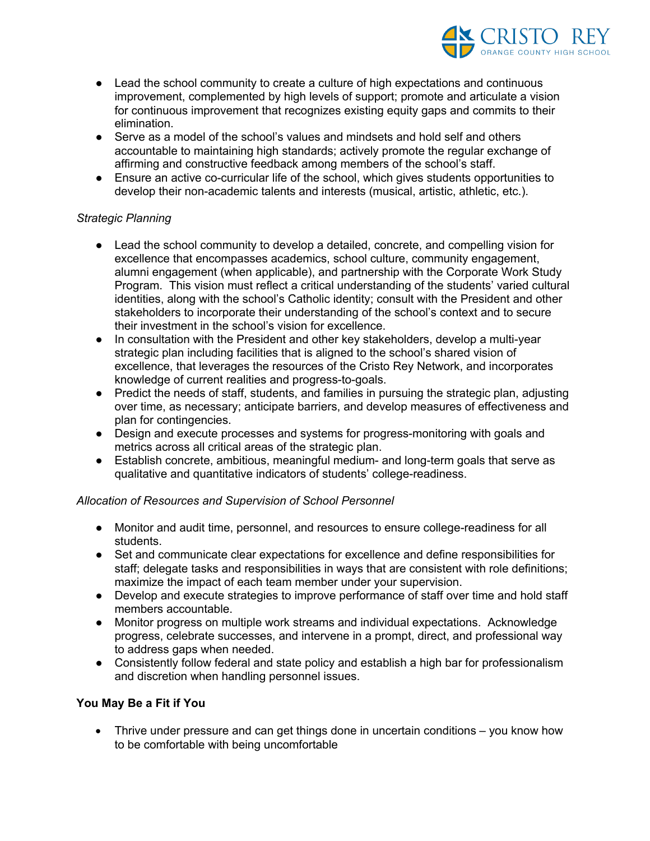

- Lead the school community to create a culture of high expectations and continuous improvement, complemented by high levels of support; promote and articulate a vision for continuous improvement that recognizes existing equity gaps and commits to their elimination.
- Serve as a model of the school's values and mindsets and hold self and others accountable to maintaining high standards; actively promote the regular exchange of affirming and constructive feedback among members of the school's staff.
- Ensure an active co-curricular life of the school, which gives students opportunities to develop their non-academic talents and interests (musical, artistic, athletic, etc.).

## *Strategic Planning*

- Lead the school community to develop a detailed, concrete, and compelling vision for excellence that encompasses academics, school culture, community engagement, alumni engagement (when applicable), and partnership with the Corporate Work Study Program. This vision must reflect a critical understanding of the students' varied cultural identities, along with the school's Catholic identity; consult with the President and other stakeholders to incorporate their understanding of the school's context and to secure their investment in the school's vision for excellence.
- In consultation with the President and other key stakeholders, develop a multi-year strategic plan including facilities that is aligned to the school's shared vision of excellence, that leverages the resources of the Cristo Rey Network, and incorporates knowledge of current realities and progress-to-goals.
- Predict the needs of staff, students, and families in pursuing the strategic plan, adjusting over time, as necessary; anticipate barriers, and develop measures of effectiveness and plan for contingencies.
- Design and execute processes and systems for progress-monitoring with goals and metrics across all critical areas of the strategic plan.
- Establish concrete, ambitious, meaningful medium- and long-term goals that serve as qualitative and quantitative indicators of students' college-readiness.

## *Allocation of Resources and Supervision of School Personnel*

- Monitor and audit time, personnel, and resources to ensure college-readiness for all students.
- Set and communicate clear expectations for excellence and define responsibilities for staff; delegate tasks and responsibilities in ways that are consistent with role definitions; maximize the impact of each team member under your supervision.
- Develop and execute strategies to improve performance of staff over time and hold staff members accountable.
- Monitor progress on multiple work streams and individual expectations. Acknowledge progress, celebrate successes, and intervene in a prompt, direct, and professional way to address gaps when needed.
- Consistently follow federal and state policy and establish a high bar for professionalism and discretion when handling personnel issues.

## **You May Be a Fit if You**

• Thrive under pressure and can get things done in uncertain conditions – you know how to be comfortable with being uncomfortable